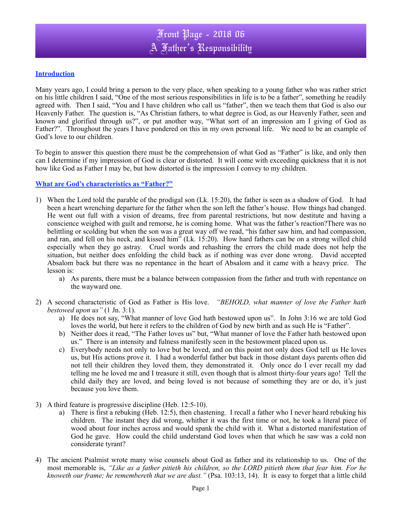## **Introduction**

Many years ago, I could bring a person to the very place, when speaking to a young father who was rather strict on his little children I said, "One of the most serious responsibilities in life is to be a father", something he readily agreed with. Then I said, "You and I have children who call us "father", then we teach them that God is also our Heavenly Father. The question is, "As Christian fathers, to what degree is God, as our Heavenly Father, seen and known and glorified through us?", or put another way, "What sort of an impression am I giving of God as Father?". Throughout the years I have pondered on this in my own personal life. We need to be an example of God's love to our children.

To begin to answer this question there must be the comprehension of what God as "Father" is like, and only then can I determine if my impression of God is clear or distorted. It will come with exceeding quickness that it is not how like God as Father I may be, but how distorted is the impression I convey to my children.

## **What are God's characteristics as "Father?"**

- 1) When the Lord told the parable of the prodigal son (Lk. 15:20), the father is seen as a shadow of God. It had been a heart wrenching departure for the father when the son left the father's house. How things had changed. He went out full with a vision of dreams, free from parental restrictions, but now destitute and having a conscience weighed with guilt and remorse, he is coming home. What was the father's reaction?There was no belittling or scolding but when the son was a great way off we read, "his father saw him, and had compassion, and ran, and fell on his neck, and kissed him" (Lk. 15:20). How hard fathers can be on a strong willed child especially when they go astray. Cruel words and rehashing the errors the child made does not help the situation, but neither does enfolding the child back as if nothing was ever done wrong. David accepted Absalom back but there was no repentance in the heart of Absalom and it came with a heavy price. The lesson is:
	- a) As parents, there must be a balance between compassion from the father and truth with repentance on the wayward one.
- 2) A second characteristic of God as Father is His love. *"BEHOLD, what manner of love the Father hath bestowed upon us"* (1 Jn. 3:1).
	- a) He does not say, "What manner of love God hath bestowed upon us". In John 3:16 we are told God loves the world, but here it refers to the children of God by new birth and as such He is "Father".
	- b) Neither does it read, "The Father loves us" but, "What manner of love the Father hath bestowed upon us." There is an intensity and fulness manifestly seen in the bestowment placed upon us.
	- c) Everybody needs not only to love but be loved, and on this point not only does God tell us He loves us, but His actions prove it. I had a wonderful father but back in those distant days parents often did not tell their children they loved them, they demonstrated it. Only once do I ever recall my dad telling me he loved me and I treasure it still, even though that is almost thirty-four years ago! Tell the child daily they are loved, and being loved is not because of something they are or do, it's just because you love them.
- 3) A third feature is progressive discipline (Heb. 12:5-10).
	- a) There is first a rebuking (Heb. 12:5), then chastening. I recall a father who I never heard rebuking his children. The instant they did wrong, whither it was the first time or not, he took a literal piece of wood about four inches across and would spank the child with it. What a distorted manifestation of God he gave. How could the child understand God loves when that which he saw was a cold non considerate tyrant?
- 4) The ancient Psalmist wrote many wise counsels about God as father and its relationship to us. One of the most memorable is, *"Like as a father pitieth his children, so the LORD pitieth them that fear him. For he knoweth our frame; he remembereth that we are dust."* (Psa. 103:13, 14). It is easy to forget that a little child